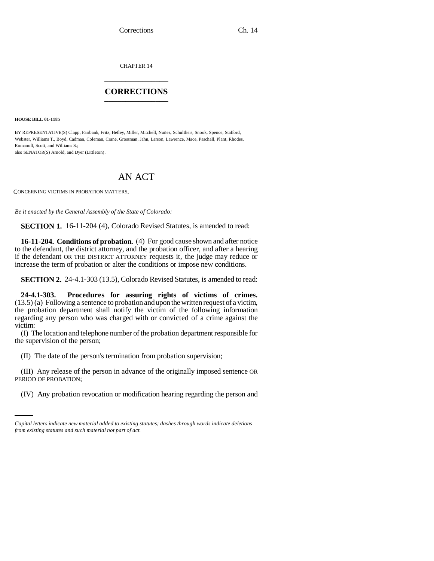CHAPTER 14 \_\_\_\_\_\_\_\_\_\_\_\_\_\_\_

## **CORRECTIONS** \_\_\_\_\_\_\_\_\_\_\_\_\_\_\_

**HOUSE BILL 01-1185**

BY REPRESENTATIVE(S) Clapp, Fairbank, Fritz, Hefley, Miller, Mitchell, Nuñez, Schultheis, Snook, Spence, Stafford, Webster, Williams T., Boyd, Cadman, Coleman, Crane, Grossman, Jahn, Larson, Lawrence, Mace, Paschall, Plant, Rhodes, Romanoff, Scott, and Williams S.; also SENATOR(S) Arnold, and Dyer (Littleton) .

## AN ACT

CONCERNING VICTIMS IN PROBATION MATTERS.

*Be it enacted by the General Assembly of the State of Colorado:*

**SECTION 1.** 16-11-204 (4), Colorado Revised Statutes, is amended to read:

**16-11-204. Conditions of probation.** (4) For good cause shown and after notice to the defendant, the district attorney, and the probation officer, and after a hearing if the defendant OR THE DISTRICT ATTORNEY requests it, the judge may reduce or increase the term of probation or alter the conditions or impose new conditions.

**SECTION 2.** 24-4.1-303 (13.5), Colorado Revised Statutes, is amended to read:

**24-4.1-303. Procedures for assuring rights of victims of crimes.** (13.5) (a) Following a sentence to probation and upon the written request of a victim, the probation department shall notify the victim of the following information regarding any person who was charged with or convicted of a crime against the victim:

(I) The location and telephone number of the probation department responsible for the supervision of the person;

(II) The date of the person's termination from probation supervision;

PERIOD OF PROBATION; (III) Any release of the person in advance of the originally imposed sentence OR

(IV) Any probation revocation or modification hearing regarding the person and

*Capital letters indicate new material added to existing statutes; dashes through words indicate deletions from existing statutes and such material not part of act.*